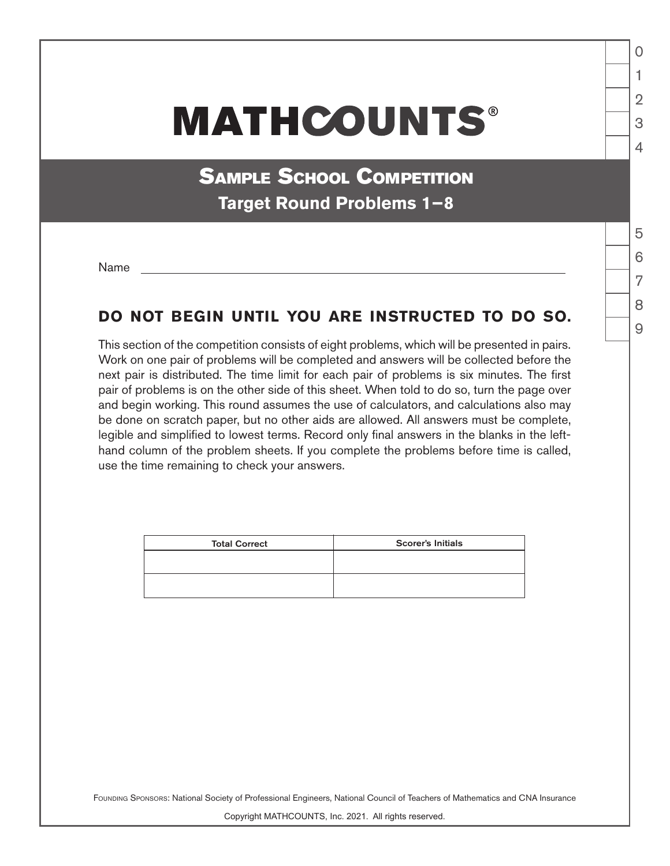## **MATHCOUNTS®**

**SAMPLE SCHOOL COMPETITION Target Round Problems 1−8**

Name

## **DO NOT BEGIN UNTIL YOU ARE INSTRUCTED TO DO SO.**

This section of the competition consists of eight problems, which will be presented in pairs. Work on one pair of problems will be completed and answers will be collected before the next pair is distributed. The time limit for each pair of problems is six minutes. The first pair of problems is on the other side of this sheet. When told to do so, turn the page over and begin working. This round assumes the use of calculators, and calculations also may be done on scratch paper, but no other aids are allowed. All answers must be complete, legible and simplified to lowest terms. Record only final answers in the blanks in the lefthand column of the problem sheets. If you complete the problems before time is called, use the time remaining to check your answers.

| <b>Total Correct</b> | <b>Scorer's Initials</b> |
|----------------------|--------------------------|
|                      |                          |
|                      |                          |
|                      |                          |

Founding Sponsors: National Society of Professional Engineers, National Council of Teachers of Mathematics and CNA Insurance

Copyright MATHCOUNTS, Inc. 2021. All rights reserved.

 $\overline{Q}$ 

1

 $\Omega$ 

 $\mathfrak{D}$ 

3

 $\Delta$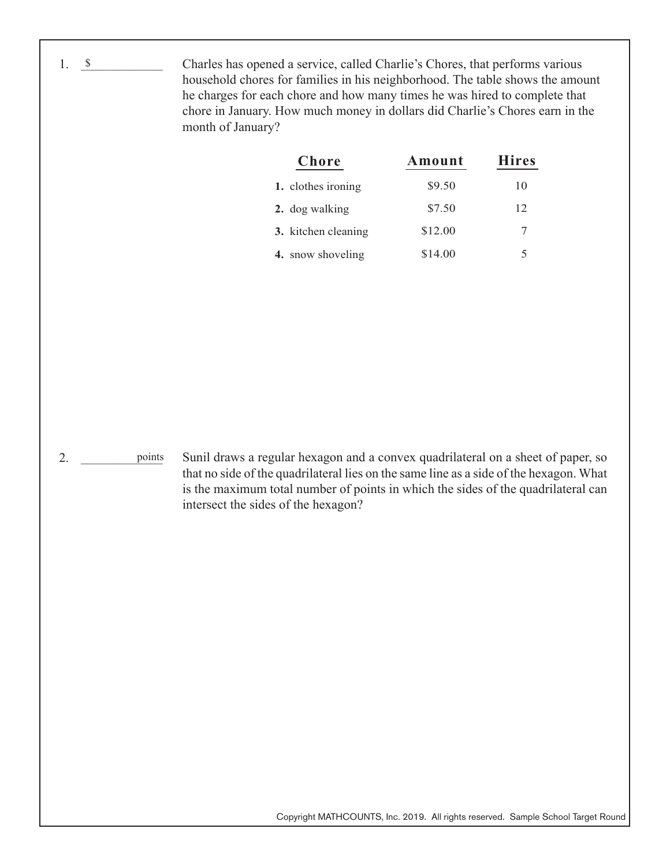Charles has opened a service, called Charlie's Chores, that performs various household chores for families in his neighborhood. The table shows the amount he charges for each chore and how many times he was hired to complete that chore in January. How much money in dollars did Charlie's Chores earn in the month of January?

| Chore               | Amount  | <b>Hires</b> |
|---------------------|---------|--------------|
| 1. clothes ironing  | \$9.50  | 10           |
| 2. dog walking      | \$7.50  | 12           |
| 3. kitchen cleaning | \$12.00 | 7            |
| 4. snow shoveling   | \$14.00 | 5            |

2. <u>points</u>

1. <u>\$</u>

Sunil draws a regular hexagon and a convex quadrilateral on a sheet of paper, so that no side of the quadrilateral lies on the same line as a side of the hexagon. What is the maximum total number of points in which the sides of the quadrilateral can intersect the sides of the hexagon?

Copyright MATHCOUNTS, Inc. 2019. All rights reserved. Sample School Target Round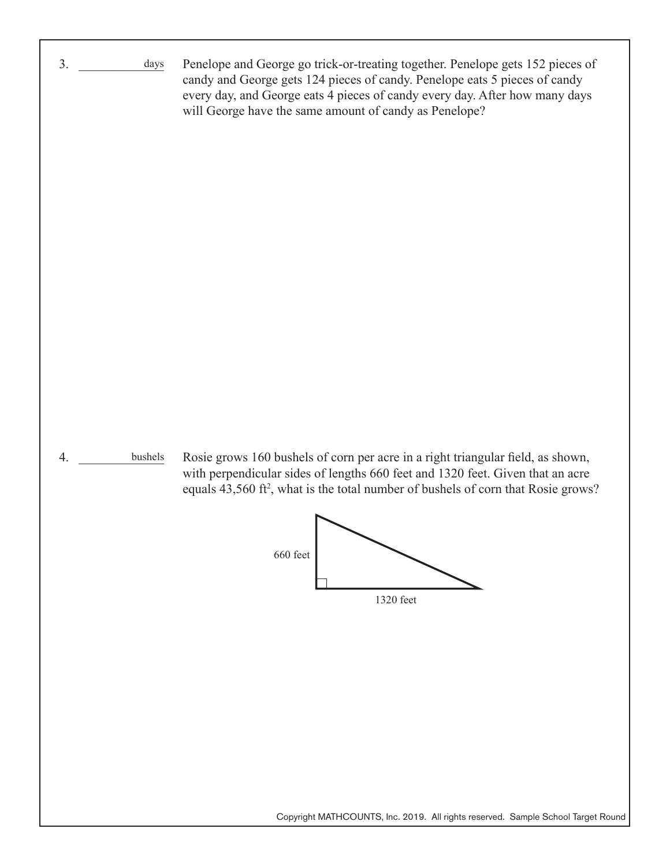| 3. | days          | Penelope and George go trick-or-treating together. Penelope gets 152 pieces of<br>candy and George gets 124 pieces of candy. Penelope eats 5 pieces of candy<br>every day, and George eats 4 pieces of candy every day. After how many days<br>will George have the same amount of candy as Penelope?                                                                       |
|----|---------------|-----------------------------------------------------------------------------------------------------------------------------------------------------------------------------------------------------------------------------------------------------------------------------------------------------------------------------------------------------------------------------|
| 4. | $\rm bushels$ | Rosie grows 160 bushels of corn per acre in a right triangular field, as shown,<br>with perpendicular sides of lengths 660 feet and 1320 feet. Given that an acre<br>equals 43,560 ft <sup>2</sup> , what is the total number of bushels of corn that Rosie grows?<br>660 feet<br>1320 feet<br>Convight MATHCOUNTS Ing. 2010 All rights reserved. Sample School Target Pour |

Copyright MATHCOUNTS, Inc. 2019. All rights reserved. Sample School Target Round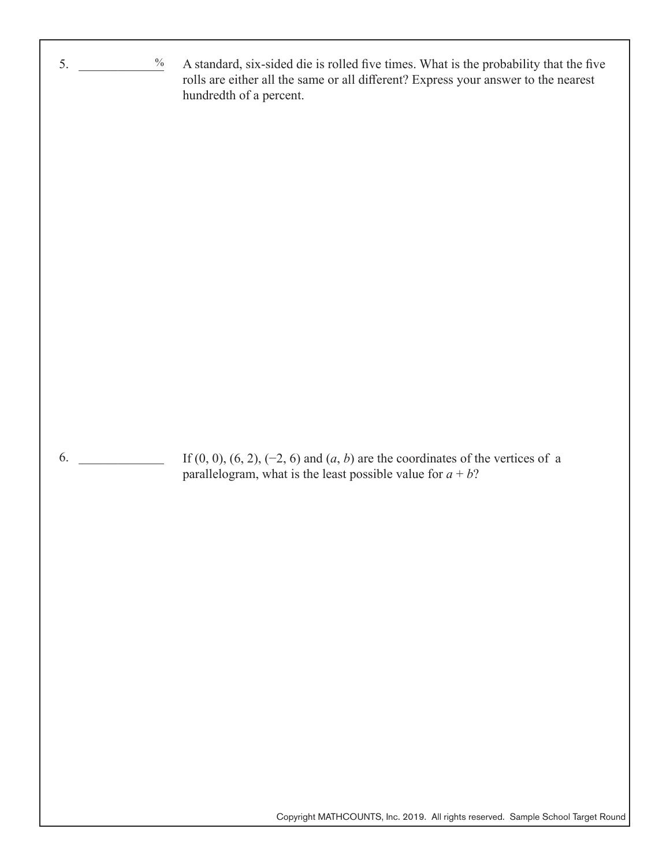